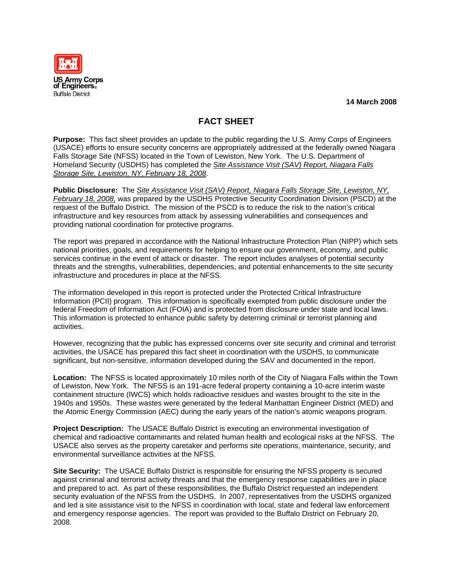**US Army Corps** of Engineers. **Buffalo District** 

**14 March 2008** 

## **FACT SHEET**

**Purpose:** This fact sheet provides an update to the public regarding the U.S. Army Corps of Engineers (USACE) efforts to ensure security concerns are appropriately addressed at the federally owned Niagara Falls Storage Site (NFSS) located in the Town of Lewiston, New York. The U.S. Department of Homeland Security (USDHS) has completed the *Site Assistance Visit (SAV) Report, Niagara Falls Storage Site, Lewiston, NY, February 18, 2008*.

**Public Disclosure:** The *Site Assistance Visit (SAV) Report, Niagara Falls Storage Site, Lewiston, NY, February 18, 2008,* was prepared by the USDHS Protective Security Coordination Division (PSCD) at the request of the Buffalo District. The mission of the PSCD is to reduce the risk to the nation's critical infrastructure and key resources from attack by assessing vulnerabilities and consequences and providing national coordination for protective programs.

The report was prepared in accordance with the National Infrastructure Protection Plan (NIPP) which sets national priorities, goals, and requirements for helping to ensure our government, economy, and public services continue in the event of attack or disaster. The report includes analyses of potential security threats and the strengths, vulnerabilities, dependencies, and potential enhancements to the site security infrastructure and procedures in place at the NFSS.

The information developed in this report is protected under the Protected Critical Infrastructure Information (PCII) program. This information is specifically exempted from public disclosure under the federal Freedom of Information Act (FOIA) and is protected from disclosure under state and local laws. This information is protected to enhance public safety by deterring criminal or terrorist planning and activities.

However, recognizing that the public has expressed concerns over site security and criminal and terrorist activities, the USACE has prepared this fact sheet in coordination with the USDHS, to communicate significant, but non-sensitive, information developed during the SAV and documented in the report.

**Location:** The NFSS is located approximately 10 miles north of the City of Niagara Falls within the Town of Lewiston, New York. The NFSS is an 191-acre federal property containing a 10-acre interim waste containment structure (IWCS) which holds radioactive residues and wastes brought to the site in the 1940s and 1950s. These wastes were generated by the federal Manhattan Engineer District (MED) and the Atomic Energy Commission (AEC) during the early years of the nation's atomic weapons program.

**Project Description:** The USACE Buffalo District is executing an environmental investigation of chemical and radioactive contaminants and related human health and ecological risks at the NFSS. The USACE also serves as the property caretaker and performs site operations, maintenance, security, and environmental surveillance activities at the NFSS.

**Site Security:** The USACE Buffalo District is responsible for ensuring the NFSS property is secured against criminal and terrorist activity threats and that the emergency response capabilities are in place and prepared to act. As part of these responsibilities, the Buffalo District requested an independent security evaluation of the NFSS from the USDHS. In 2007, representatives from the USDHS organized and led a site assistance visit to the NFSS in coordination with local, state and federal law enforcement and emergency response agencies. The report was provided to the Buffalo District on February 20, 2008.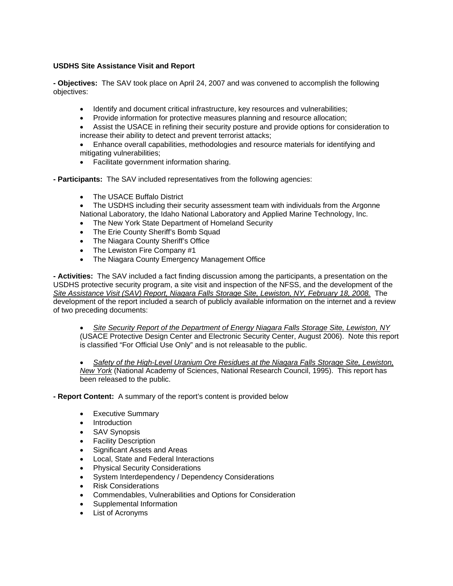## **USDHS Site Assistance Visit and Report**

**- Objectives:** The SAV took place on April 24, 2007 and was convened to accomplish the following objectives:

- Identify and document critical infrastructure, key resources and vulnerabilities;
- Provide information for protective measures planning and resource allocation;
- Assist the USACE in refining their security posture and provide options for consideration to increase their ability to detect and prevent terrorist attacks;

• Enhance overall capabilities, methodologies and resource materials for identifying and mitigating vulnerabilities;

- Facilitate government information sharing.
- **Participants:** The SAV included representatives from the following agencies:
	- The USACE Buffalo District
	- The USDHS including their security assessment team with individuals from the Argonne National Laboratory, the Idaho National Laboratory and Applied Marine Technology, Inc.
	- The New York State Department of Homeland Security
	- The Erie County Sheriff's Bomb Squad
	- The Niagara County Sheriff's Office
	- The Lewiston Fire Company #1
	- The Niagara County Emergency Management Office

**- Activities:** The SAV included a fact finding discussion among the participants, a presentation on the USDHS protective security program, a site visit and inspection of the NFSS, and the development of the *Site Assistance Visit (SAV) Report, Niagara Falls Storage Site, Lewiston, NY, February 18, 2008.* The development of the report included a search of publicly available information on the internet and a review of two preceding documents:

• *Site Security Report of the Department of Energy Niagara Falls Storage Site, Lewiston, NY* (USACE Protective Design Center and Electronic Security Center, August 2006). Note this report is classified "For Official Use Only" and is not releasable to the public.

• *Safety of the High-Level Uranium Ore Residues at the Niagara Falls Storage Site, Lewiston, New York* (National Academy of Sciences, National Research Council, 1995). This report has been released to the public.

**- Report Content:** A summary of the report's content is provided below

- Executive Summary
- Introduction
- SAV Synopsis
- **Facility Description**
- Significant Assets and Areas
- Local, State and Federal Interactions
- Physical Security Considerations
- System Interdependency / Dependency Considerations
- Risk Considerations
- Commendables, Vulnerabilities and Options for Consideration
- Supplemental Information
- List of Acronyms